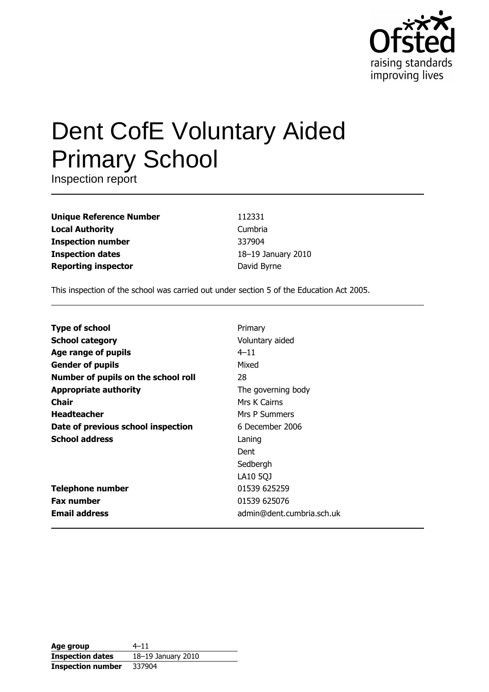

# **Dent CofE Voluntary Aided Primary School**

Inspection report

**Unique Reference Number Local Authority Inspection number Inspection dates Reporting inspector** 

112331 Cumbria 337904 18-19 January 2010 David Byrne

This inspection of the school was carried out under section 5 of the Education Act 2005.

| <b>Type of school</b>               | Primary                   |
|-------------------------------------|---------------------------|
| <b>School category</b>              | Voluntary aided           |
| Age range of pupils                 | $4 - 11$                  |
| <b>Gender of pupils</b>             | Mixed                     |
| Number of pupils on the school roll | 28                        |
| <b>Appropriate authority</b>        | The governing body        |
| Chair                               | Mrs K Cairns              |
| <b>Headteacher</b>                  | Mrs P Summers             |
| Date of previous school inspection  | 6 December 2006           |
| <b>School address</b>               | Laning                    |
|                                     | Dent                      |
|                                     | Sedbergh                  |
|                                     | LA10 5QJ                  |
| <b>Telephone number</b>             | 01539 625259              |
| <b>Fax number</b>                   | 01539 625076              |
| <b>Email address</b>                | admin@dent.cumbria.sch.uk |

| Age group                | $4 - 11$           |
|--------------------------|--------------------|
| <b>Inspection dates</b>  | 18-19 January 2010 |
| <b>Inspection number</b> | 337904             |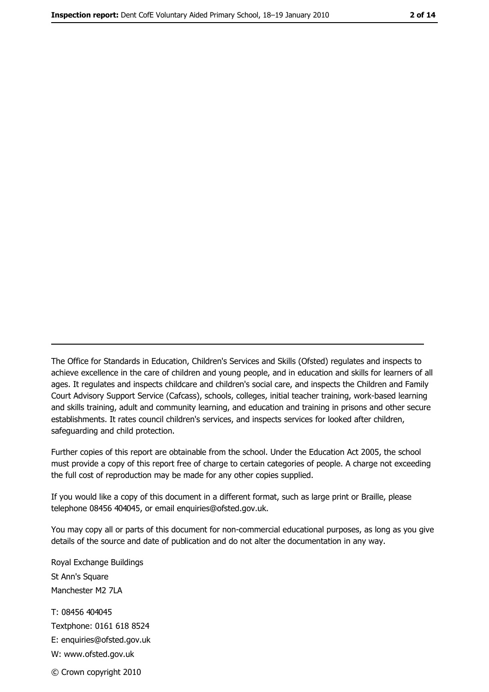The Office for Standards in Education, Children's Services and Skills (Ofsted) regulates and inspects to achieve excellence in the care of children and young people, and in education and skills for learners of all ages. It regulates and inspects childcare and children's social care, and inspects the Children and Family Court Advisory Support Service (Cafcass), schools, colleges, initial teacher training, work-based learning and skills training, adult and community learning, and education and training in prisons and other secure establishments. It rates council children's services, and inspects services for looked after children, safequarding and child protection.

Further copies of this report are obtainable from the school. Under the Education Act 2005, the school must provide a copy of this report free of charge to certain categories of people. A charge not exceeding the full cost of reproduction may be made for any other copies supplied.

If you would like a copy of this document in a different format, such as large print or Braille, please telephone 08456 404045, or email enquiries@ofsted.gov.uk.

You may copy all or parts of this document for non-commercial educational purposes, as long as you give details of the source and date of publication and do not alter the documentation in any way.

Royal Exchange Buildings St Ann's Square Manchester M2 7LA T: 08456 404045 Textphone: 0161 618 8524 E: enquiries@ofsted.gov.uk W: www.ofsted.gov.uk © Crown copyright 2010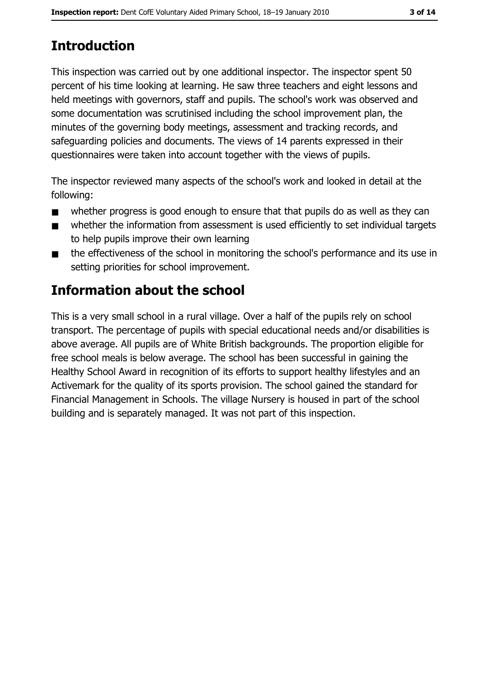# **Introduction**

This inspection was carried out by one additional inspector. The inspector spent 50 percent of his time looking at learning. He saw three teachers and eight lessons and held meetings with governors, staff and pupils. The school's work was observed and some documentation was scrutinised including the school improvement plan, the minutes of the governing body meetings, assessment and tracking records, and safeguarding policies and documents. The views of 14 parents expressed in their questionnaires were taken into account together with the views of pupils.

The inspector reviewed many aspects of the school's work and looked in detail at the following:

- whether progress is good enough to ensure that that pupils do as well as they can  $\blacksquare$
- whether the information from assessment is used efficiently to set individual targets  $\blacksquare$ to help pupils improve their own learning
- the effectiveness of the school in monitoring the school's performance and its use in  $\blacksquare$ setting priorities for school improvement.

## **Information about the school**

This is a very small school in a rural village. Over a half of the pupils rely on school transport. The percentage of pupils with special educational needs and/or disabilities is above average. All pupils are of White British backgrounds. The proportion eligible for free school meals is below average. The school has been successful in gaining the Healthy School Award in recognition of its efforts to support healthy lifestyles and an Activemark for the quality of its sports provision. The school gained the standard for Financial Management in Schools. The village Nursery is housed in part of the school building and is separately managed. It was not part of this inspection.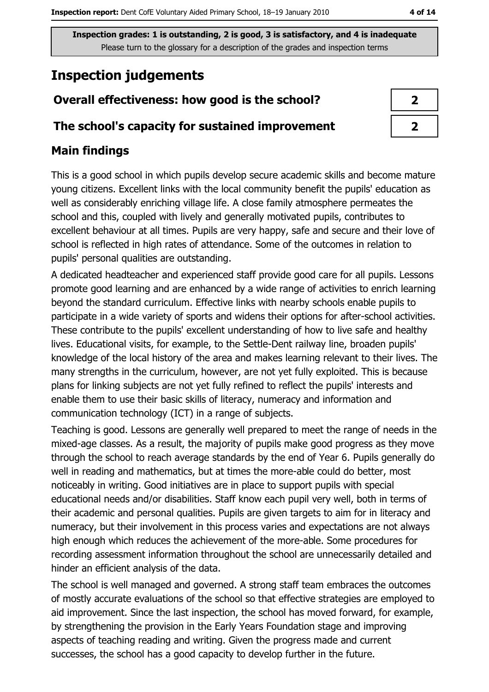# **Inspection judgements**

## Overall effectiveness: how good is the school?

#### The school's capacity for sustained improvement

## **Main findings**

This is a good school in which pupils develop secure academic skills and become mature young citizens. Excellent links with the local community benefit the pupils' education as well as considerably enriching village life. A close family atmosphere permeates the school and this, coupled with lively and generally motivated pupils, contributes to excellent behaviour at all times. Pupils are very happy, safe and secure and their love of school is reflected in high rates of attendance. Some of the outcomes in relation to pupils' personal qualities are outstanding.

A dedicated headteacher and experienced staff provide good care for all pupils. Lessons promote good learning and are enhanced by a wide range of activities to enrich learning beyond the standard curriculum. Effective links with nearby schools enable pupils to participate in a wide variety of sports and widens their options for after-school activities. These contribute to the pupils' excellent understanding of how to live safe and healthy lives. Educational visits, for example, to the Settle-Dent railway line, broaden pupils' knowledge of the local history of the area and makes learning relevant to their lives. The many strengths in the curriculum, however, are not yet fully exploited. This is because plans for linking subjects are not yet fully refined to reflect the pupils' interests and enable them to use their basic skills of literacy, numeracy and information and communication technology (ICT) in a range of subjects.

Teaching is good. Lessons are generally well prepared to meet the range of needs in the mixed-age classes. As a result, the majority of pupils make good progress as they move through the school to reach average standards by the end of Year 6. Pupils generally do well in reading and mathematics, but at times the more-able could do better, most noticeably in writing. Good initiatives are in place to support pupils with special educational needs and/or disabilities. Staff know each pupil very well, both in terms of their academic and personal qualities. Pupils are given targets to aim for in literacy and numeracy, but their involvement in this process varies and expectations are not always high enough which reduces the achievement of the more-able. Some procedures for recording assessment information throughout the school are unnecessarily detailed and hinder an efficient analysis of the data.

The school is well managed and governed. A strong staff team embraces the outcomes of mostly accurate evaluations of the school so that effective strategies are employed to aid improvement. Since the last inspection, the school has moved forward, for example, by strengthening the provision in the Early Years Foundation stage and improving aspects of teaching reading and writing. Given the progress made and current successes, the school has a good capacity to develop further in the future.

| ↗ |  |
|---|--|
| 7 |  |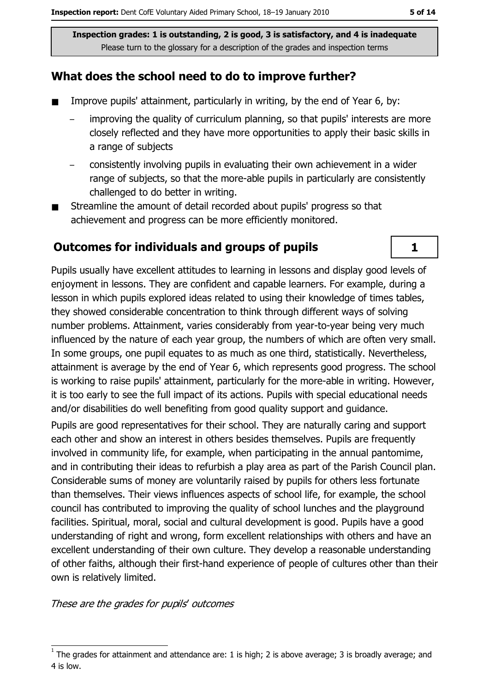#### What does the school need to do to improve further?

- $\blacksquare$ Improve pupils' attainment, particularly in writing, by the end of Year 6, by:
	- improving the quality of curriculum planning, so that pupils' interests are more closely reflected and they have more opportunities to apply their basic skills in a range of subjects
	- consistently involving pupils in evaluating their own achievement in a wider range of subjects, so that the more-able pupils in particularly are consistently challenged to do better in writing.
- Streamline the amount of detail recorded about pupils' progress so that achievement and progress can be more efficiently monitored.

#### Outcomes for individuals and groups of pupils

Pupils usually have excellent attitudes to learning in lessons and display good levels of enjoyment in lessons. They are confident and capable learners. For example, during a lesson in which pupils explored ideas related to using their knowledge of times tables, they showed considerable concentration to think through different ways of solving number problems. Attainment, varies considerably from year-to-year being very much influenced by the nature of each year group, the numbers of which are often very small. In some groups, one pupil equates to as much as one third, statistically. Nevertheless, attainment is average by the end of Year 6, which represents good progress. The school is working to raise pupils' attainment, particularly for the more-able in writing. However, it is too early to see the full impact of its actions. Pupils with special educational needs and/or disabilities do well benefiting from good quality support and quidance.

Pupils are good representatives for their school. They are naturally caring and support each other and show an interest in others besides themselves. Pupils are frequently involved in community life, for example, when participating in the annual pantomime, and in contributing their ideas to refurbish a play area as part of the Parish Council plan. Considerable sums of money are voluntarily raised by pupils for others less fortunate than themselves. Their views influences aspects of school life, for example, the school council has contributed to improving the quality of school lunches and the playground facilities. Spiritual, moral, social and cultural development is good. Pupils have a good understanding of right and wrong, form excellent relationships with others and have an excellent understanding of their own culture. They develop a reasonable understanding of other faiths, although their first-hand experience of people of cultures other than their own is relatively limited.

These are the grades for pupils' outcomes

 $\mathbf{1}$ 

The grades for attainment and attendance are: 1 is high; 2 is above average; 3 is broadly average; and 4 is low.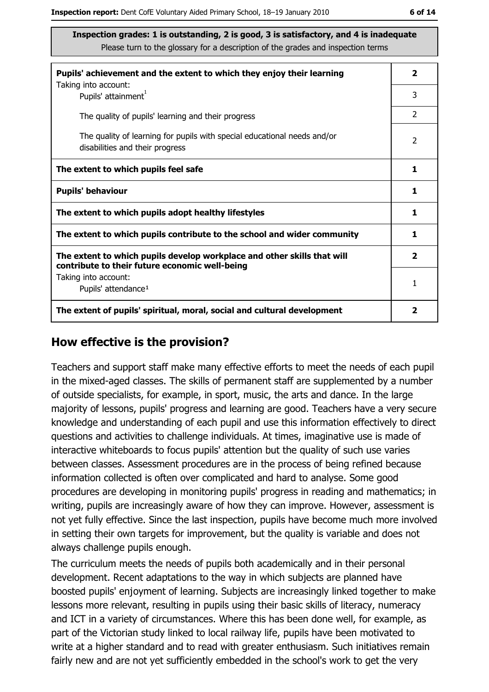| Pupils' achievement and the extent to which they enjoy their learning                                                     |   |  |  |  |
|---------------------------------------------------------------------------------------------------------------------------|---|--|--|--|
| Taking into account:<br>Pupils' attainment <sup>1</sup>                                                                   | 3 |  |  |  |
| The quality of pupils' learning and their progress                                                                        | 2 |  |  |  |
| The quality of learning for pupils with special educational needs and/or<br>disabilities and their progress               |   |  |  |  |
| The extent to which pupils feel safe                                                                                      |   |  |  |  |
| <b>Pupils' behaviour</b>                                                                                                  |   |  |  |  |
| The extent to which pupils adopt healthy lifestyles                                                                       |   |  |  |  |
| The extent to which pupils contribute to the school and wider community                                                   |   |  |  |  |
| The extent to which pupils develop workplace and other skills that will<br>contribute to their future economic well-being |   |  |  |  |
| Taking into account:<br>Pupils' attendance <sup>1</sup>                                                                   |   |  |  |  |
| The extent of pupils' spiritual, moral, social and cultural development                                                   |   |  |  |  |

#### How effective is the provision?

Teachers and support staff make many effective efforts to meet the needs of each pupil in the mixed-aged classes. The skills of permanent staff are supplemented by a number of outside specialists, for example, in sport, music, the arts and dance. In the large majority of lessons, pupils' progress and learning are good. Teachers have a very secure knowledge and understanding of each pupil and use this information effectively to direct questions and activities to challenge individuals. At times, imaginative use is made of interactive whiteboards to focus pupils' attention but the quality of such use varies between classes. Assessment procedures are in the process of being refined because information collected is often over complicated and hard to analyse. Some good procedures are developing in monitoring pupils' progress in reading and mathematics; in writing, pupils are increasingly aware of how they can improve. However, assessment is not yet fully effective. Since the last inspection, pupils have become much more involved in setting their own targets for improvement, but the quality is variable and does not always challenge pupils enough.

The curriculum meets the needs of pupils both academically and in their personal development. Recent adaptations to the way in which subjects are planned have boosted pupils' enjoyment of learning. Subjects are increasingly linked together to make lessons more relevant, resulting in pupils using their basic skills of literacy, numeracy and ICT in a variety of circumstances. Where this has been done well, for example, as part of the Victorian study linked to local railway life, pupils have been motivated to write at a higher standard and to read with greater enthusiasm. Such initiatives remain fairly new and are not yet sufficiently embedded in the school's work to get the very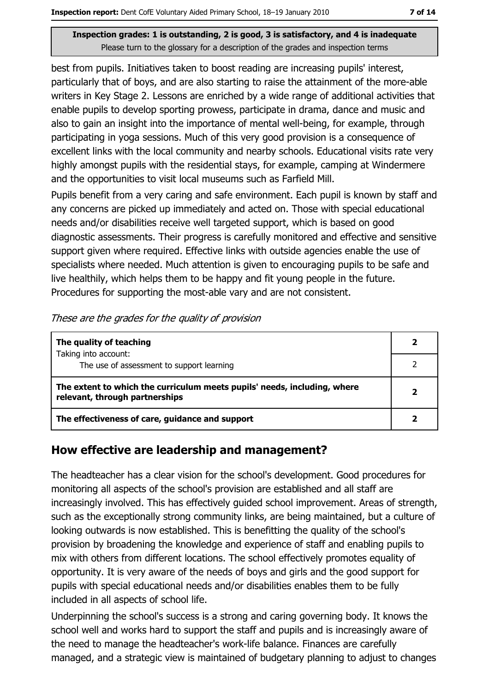best from pupils. Initiatives taken to boost reading are increasing pupils' interest, particularly that of boys, and are also starting to raise the attainment of the more-able writers in Key Stage 2. Lessons are enriched by a wide range of additional activities that enable pupils to develop sporting prowess, participate in drama, dance and music and also to gain an insight into the importance of mental well-being, for example, through participating in yoga sessions. Much of this very good provision is a consequence of excellent links with the local community and nearby schools. Educational visits rate very highly amongst pupils with the residential stays, for example, camping at Windermere and the opportunities to visit local museums such as Farfield Mill.

Pupils benefit from a very caring and safe environment. Each pupil is known by staff and any concerns are picked up immediately and acted on. Those with special educational needs and/or disabilities receive well targeted support, which is based on good diagnostic assessments. Their progress is carefully monitored and effective and sensitive support given where required. Effective links with outside agencies enable the use of specialists where needed. Much attention is given to encouraging pupils to be safe and live healthily, which helps them to be happy and fit young people in the future. Procedures for supporting the most-able vary and are not consistent.

| These are the grades for the quality of provision |  |
|---------------------------------------------------|--|
|---------------------------------------------------|--|

| The quality of teaching                                                                                    |  |
|------------------------------------------------------------------------------------------------------------|--|
| Taking into account:<br>The use of assessment to support learning                                          |  |
| The extent to which the curriculum meets pupils' needs, including, where<br>relevant, through partnerships |  |
| The effectiveness of care, guidance and support                                                            |  |

### How effective are leadership and management?

The headteacher has a clear vision for the school's development. Good procedures for monitoring all aspects of the school's provision are established and all staff are increasingly involved. This has effectively guided school improvement. Areas of strength, such as the exceptionally strong community links, are being maintained, but a culture of looking outwards is now established. This is benefitting the quality of the school's provision by broadening the knowledge and experience of staff and enabling pupils to mix with others from different locations. The school effectively promotes equality of opportunity. It is very aware of the needs of boys and girls and the good support for pupils with special educational needs and/or disabilities enables them to be fully included in all aspects of school life.

Underpinning the school's success is a strong and caring governing body. It knows the school well and works hard to support the staff and pupils and is increasingly aware of the need to manage the headteacher's work-life balance. Finances are carefully managed, and a strategic view is maintained of budgetary planning to adjust to changes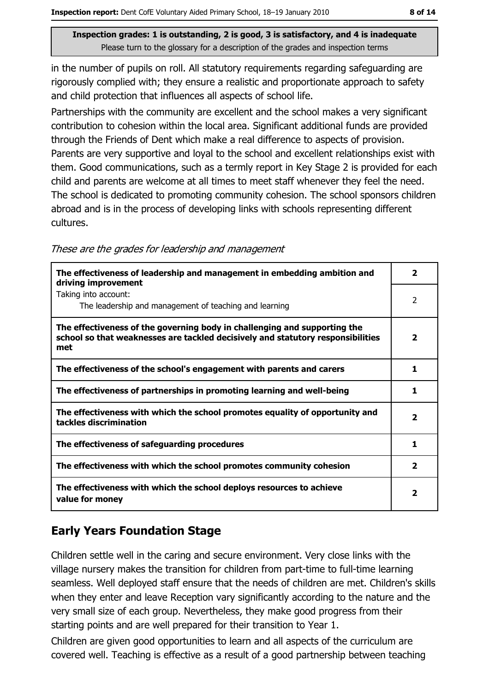in the number of pupils on roll. All statutory requirements regarding safequarding are rigorously complied with; they ensure a realistic and proportionate approach to safety and child protection that influences all aspects of school life.

Partnerships with the community are excellent and the school makes a very significant contribution to cohesion within the local area. Significant additional funds are provided through the Friends of Dent which make a real difference to aspects of provision. Parents are very supportive and loyal to the school and excellent relationships exist with them. Good communications, such as a termly report in Key Stage 2 is provided for each child and parents are welcome at all times to meet staff whenever they feel the need. The school is dedicated to promoting community cohesion. The school sponsors children abroad and is in the process of developing links with schools representing different cultures.

|  | These are the grades for leadership and management |
|--|----------------------------------------------------|
|  |                                                    |

| The effectiveness of leadership and management in embedding ambition and<br>driving improvement                                                                     | $\overline{\mathbf{2}}$ |
|---------------------------------------------------------------------------------------------------------------------------------------------------------------------|-------------------------|
| Taking into account:<br>The leadership and management of teaching and learning                                                                                      | 2                       |
| The effectiveness of the governing body in challenging and supporting the<br>school so that weaknesses are tackled decisively and statutory responsibilities<br>met | $\overline{\mathbf{2}}$ |
| The effectiveness of the school's engagement with parents and carers                                                                                                | 1                       |
| The effectiveness of partnerships in promoting learning and well-being                                                                                              | 1                       |
| The effectiveness with which the school promotes equality of opportunity and<br>tackles discrimination                                                              | 2                       |
| The effectiveness of safeguarding procedures                                                                                                                        | 1                       |
| The effectiveness with which the school promotes community cohesion                                                                                                 | 2                       |
| The effectiveness with which the school deploys resources to achieve<br>value for money                                                                             | $\overline{\mathbf{2}}$ |

## **Early Years Foundation Stage**

Children settle well in the caring and secure environment. Very close links with the village nursery makes the transition for children from part-time to full-time learning seamless. Well deploved staff ensure that the needs of children are met. Children's skills when they enter and leave Reception vary significantly according to the nature and the very small size of each group. Nevertheless, they make good progress from their starting points and are well prepared for their transition to Year 1.

Children are given good opportunities to learn and all aspects of the curriculum are covered well. Teaching is effective as a result of a good partnership between teaching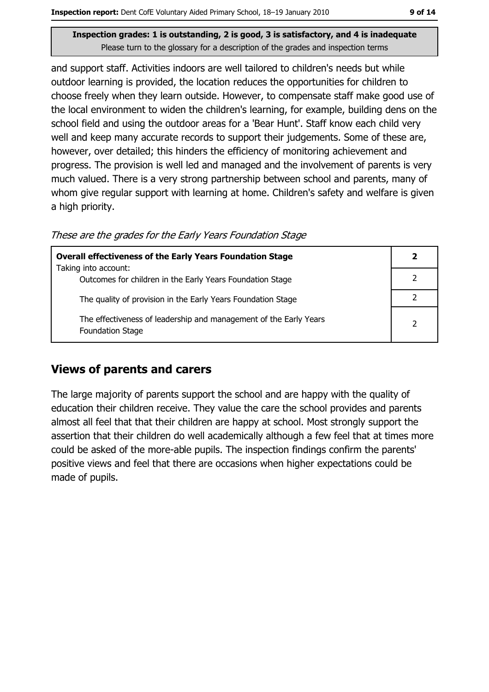and support staff. Activities indoors are well tailored to children's needs but while outdoor learning is provided, the location reduces the opportunities for children to choose freely when they learn outside. However, to compensate staff make good use of the local environment to widen the children's learning, for example, building dens on the school field and using the outdoor areas for a 'Bear Hunt'. Staff know each child very well and keep many accurate records to support their judgements. Some of these are, however, over detailed; this hinders the efficiency of monitoring achievement and progress. The provision is well led and managed and the involvement of parents is very much valued. There is a very strong partnership between school and parents, many of whom give regular support with learning at home. Children's safety and welfare is given a high priority.

These are the grades for the Early Years Foundation Stage

| <b>Overall effectiveness of the Early Years Foundation Stage</b>                             |   |  |
|----------------------------------------------------------------------------------------------|---|--|
| Taking into account:                                                                         |   |  |
| Outcomes for children in the Early Years Foundation Stage                                    |   |  |
| The quality of provision in the Early Years Foundation Stage                                 |   |  |
| The effectiveness of leadership and management of the Early Years<br><b>Foundation Stage</b> | 2 |  |

#### **Views of parents and carers**

The large majority of parents support the school and are happy with the quality of education their children receive. They value the care the school provides and parents almost all feel that that their children are happy at school. Most strongly support the assertion that their children do well academically although a few feel that at times more could be asked of the more-able pupils. The inspection findings confirm the parents' positive views and feel that there are occasions when higher expectations could be made of pupils.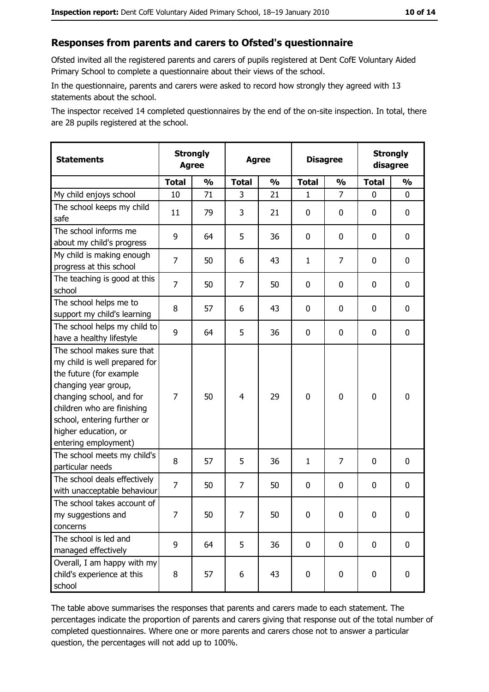#### Responses from parents and carers to Ofsted's questionnaire

Ofsted invited all the registered parents and carers of pupils registered at Dent CofE Voluntary Aided Primary School to complete a questionnaire about their views of the school.

In the questionnaire, parents and carers were asked to record how strongly they agreed with 13 statements about the school.

The inspector received 14 completed questionnaires by the end of the on-site inspection. In total, there are 28 pupils registered at the school.

| <b>Statements</b>                                                                                                                                                                                                                                       | <b>Strongly</b><br><b>Agree</b> |               | <b>Agree</b>   |               | <b>Disagree</b> |                | <b>Strongly</b><br>disagree |               |  |
|---------------------------------------------------------------------------------------------------------------------------------------------------------------------------------------------------------------------------------------------------------|---------------------------------|---------------|----------------|---------------|-----------------|----------------|-----------------------------|---------------|--|
|                                                                                                                                                                                                                                                         | <b>Total</b>                    | $\frac{0}{0}$ | <b>Total</b>   | $\frac{0}{0}$ | <b>Total</b>    | $\frac{0}{0}$  | <b>Total</b>                | $\frac{0}{0}$ |  |
| My child enjoys school                                                                                                                                                                                                                                  | 10                              | 71            | 3              | 21            | 1               | $\overline{7}$ | $\Omega$                    | 0             |  |
| The school keeps my child<br>safe                                                                                                                                                                                                                       | 11                              | 79            | 3              | 21            | $\mathbf 0$     | 0              | $\mathbf{0}$                | 0             |  |
| The school informs me<br>about my child's progress                                                                                                                                                                                                      | 9                               | 64            | 5              | 36            | $\mathbf 0$     | 0              | $\mathbf{0}$                | 0             |  |
| My child is making enough<br>progress at this school                                                                                                                                                                                                    | 7                               | 50            | 6              | 43            | $\mathbf{1}$    | 7              | 0                           | 0             |  |
| The teaching is good at this<br>school                                                                                                                                                                                                                  | $\overline{7}$                  | 50            | $\overline{7}$ | 50            | $\mathbf 0$     | 0              | 0                           | 0             |  |
| The school helps me to<br>support my child's learning                                                                                                                                                                                                   | 8                               | 57            | 6              | 43            | $\mathbf 0$     | 0              | 0                           | 0             |  |
| The school helps my child to<br>have a healthy lifestyle                                                                                                                                                                                                | 9                               | 64            | 5              | 36            | $\mathbf 0$     | 0              | 0                           | 0             |  |
| The school makes sure that<br>my child is well prepared for<br>the future (for example<br>changing year group,<br>changing school, and for<br>children who are finishing<br>school, entering further or<br>higher education, or<br>entering employment) | $\overline{7}$                  | 50            | $\overline{4}$ | 29            | $\mathbf 0$     | 0              | $\mathbf 0$                 | 0             |  |
| The school meets my child's<br>particular needs                                                                                                                                                                                                         | 8                               | 57            | 5              | 36            | $\mathbf{1}$    | 7              | 0                           | 0             |  |
| The school deals effectively<br>with unacceptable behaviour                                                                                                                                                                                             | $\overline{7}$                  | 50            | 7              | 50            | $\mathbf 0$     | 0              | 0                           | 0             |  |
| The school takes account of<br>my suggestions and<br>concerns                                                                                                                                                                                           | 7                               | 50            | 7              | 50            | 0               | 0              | 0                           | 0             |  |
| The school is led and<br>managed effectively                                                                                                                                                                                                            | 9                               | 64            | 5              | 36            | $\mathbf 0$     | 0              | 0                           | $\mathbf 0$   |  |
| Overall, I am happy with my<br>child's experience at this<br>school                                                                                                                                                                                     | 8                               | 57            | 6              | 43            | $\mathbf 0$     | 0              | $\mathbf 0$                 | 0             |  |

The table above summarises the responses that parents and carers made to each statement. The percentages indicate the proportion of parents and carers giving that response out of the total number of completed questionnaires. Where one or more parents and carers chose not to answer a particular question, the percentages will not add up to 100%.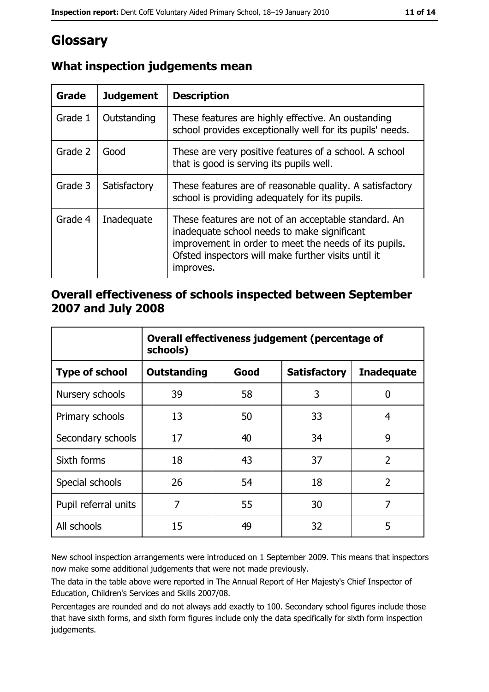# Glossary

| Grade   | <b>Judgement</b> | <b>Description</b>                                                                                                                                                                                                               |
|---------|------------------|----------------------------------------------------------------------------------------------------------------------------------------------------------------------------------------------------------------------------------|
| Grade 1 | Outstanding      | These features are highly effective. An oustanding<br>school provides exceptionally well for its pupils' needs.                                                                                                                  |
| Grade 2 | Good             | These are very positive features of a school. A school<br>that is good is serving its pupils well.                                                                                                                               |
| Grade 3 | Satisfactory     | These features are of reasonable quality. A satisfactory<br>school is providing adequately for its pupils.                                                                                                                       |
| Grade 4 | Inadequate       | These features are not of an acceptable standard. An<br>inadequate school needs to make significant<br>improvement in order to meet the needs of its pupils.<br>Ofsted inspectors will make further visits until it<br>improves. |

## What inspection judgements mean

#### Overall effectiveness of schools inspected between September 2007 and July 2008

|                       | Overall effectiveness judgement (percentage of<br>schools) |      |                     |                   |  |
|-----------------------|------------------------------------------------------------|------|---------------------|-------------------|--|
| <b>Type of school</b> | <b>Outstanding</b>                                         | Good | <b>Satisfactory</b> | <b>Inadequate</b> |  |
| Nursery schools       | 39                                                         | 58   | 3                   | 0                 |  |
| Primary schools       | 13                                                         | 50   | 33                  | 4                 |  |
| Secondary schools     | 17                                                         | 40   | 34                  | 9                 |  |
| Sixth forms           | 18                                                         | 43   | 37                  | $\overline{2}$    |  |
| Special schools       | 26                                                         | 54   | 18                  | $\overline{2}$    |  |
| Pupil referral units  | 7                                                          | 55   | 30                  | 7                 |  |
| All schools           | 15                                                         | 49   | 32                  | 5                 |  |

New school inspection arrangements were introduced on 1 September 2009. This means that inspectors now make some additional judgements that were not made previously.

The data in the table above were reported in The Annual Report of Her Majesty's Chief Inspector of Education, Children's Services and Skills 2007/08.

Percentages are rounded and do not always add exactly to 100. Secondary school figures include those that have sixth forms, and sixth form figures include only the data specifically for sixth form inspection judgements.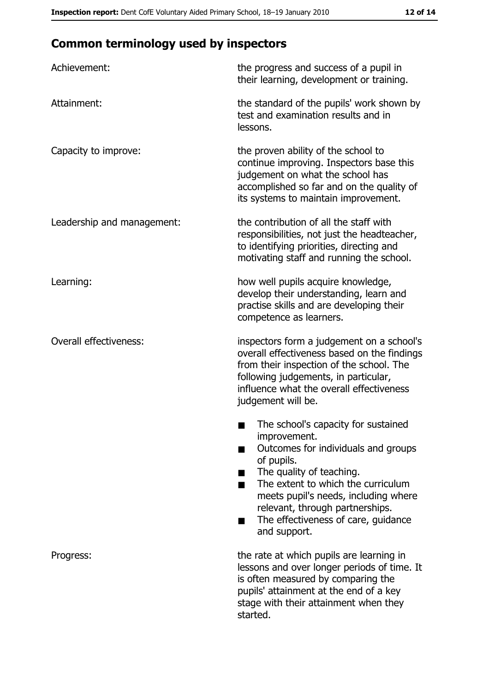# **Common terminology used by inspectors**

| Achievement:                  | the progress and success of a pupil in<br>their learning, development or training.                                                                                                                                                                                                                           |
|-------------------------------|--------------------------------------------------------------------------------------------------------------------------------------------------------------------------------------------------------------------------------------------------------------------------------------------------------------|
| Attainment:                   | the standard of the pupils' work shown by<br>test and examination results and in<br>lessons.                                                                                                                                                                                                                 |
| Capacity to improve:          | the proven ability of the school to<br>continue improving. Inspectors base this<br>judgement on what the school has<br>accomplished so far and on the quality of<br>its systems to maintain improvement.                                                                                                     |
| Leadership and management:    | the contribution of all the staff with<br>responsibilities, not just the headteacher,<br>to identifying priorities, directing and<br>motivating staff and running the school.                                                                                                                                |
| Learning:                     | how well pupils acquire knowledge,<br>develop their understanding, learn and<br>practise skills and are developing their<br>competence as learners.                                                                                                                                                          |
| <b>Overall effectiveness:</b> | inspectors form a judgement on a school's<br>overall effectiveness based on the findings<br>from their inspection of the school. The<br>following judgements, in particular,<br>influence what the overall effectiveness<br>judgement will be.                                                               |
|                               | The school's capacity for sustained<br>improvement.<br>Outcomes for individuals and groups<br>of pupils.<br>The quality of teaching.<br>The extent to which the curriculum<br>meets pupil's needs, including where<br>relevant, through partnerships.<br>The effectiveness of care, guidance<br>and support. |
| Progress:                     | the rate at which pupils are learning in<br>lessons and over longer periods of time. It<br>is often measured by comparing the<br>pupils' attainment at the end of a key<br>stage with their attainment when they<br>started.                                                                                 |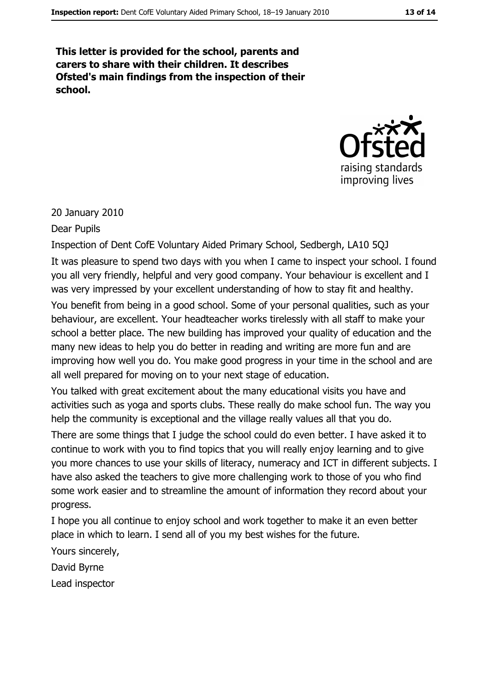This letter is provided for the school, parents and carers to share with their children. It describes Ofsted's main findings from the inspection of their school.



20 January 2010

Dear Pupils

Inspection of Dent CofE Voluntary Aided Primary School, Sedbergh, LA10 5QJ

It was pleasure to spend two days with you when I came to inspect your school. I found you all very friendly, helpful and very good company. Your behaviour is excellent and I was very impressed by your excellent understanding of how to stay fit and healthy. You benefit from being in a good school. Some of your personal qualities, such as your behaviour, are excellent. Your headteacher works tirelessly with all staff to make your school a better place. The new building has improved your quality of education and the many new ideas to help you do better in reading and writing are more fun and are improving how well you do. You make good progress in your time in the school and are all well prepared for moving on to your next stage of education.

You talked with great excitement about the many educational visits you have and activities such as yoga and sports clubs. These really do make school fun. The way you help the community is exceptional and the village really values all that you do.

There are some things that I judge the school could do even better. I have asked it to continue to work with you to find topics that you will really enjoy learning and to give you more chances to use your skills of literacy, numeracy and ICT in different subjects. I have also asked the teachers to give more challenging work to those of you who find some work easier and to streamline the amount of information they record about your progress.

I hope you all continue to enjoy school and work together to make it an even better place in which to learn. I send all of you my best wishes for the future.

Yours sincerely,

David Byrne

Lead inspector